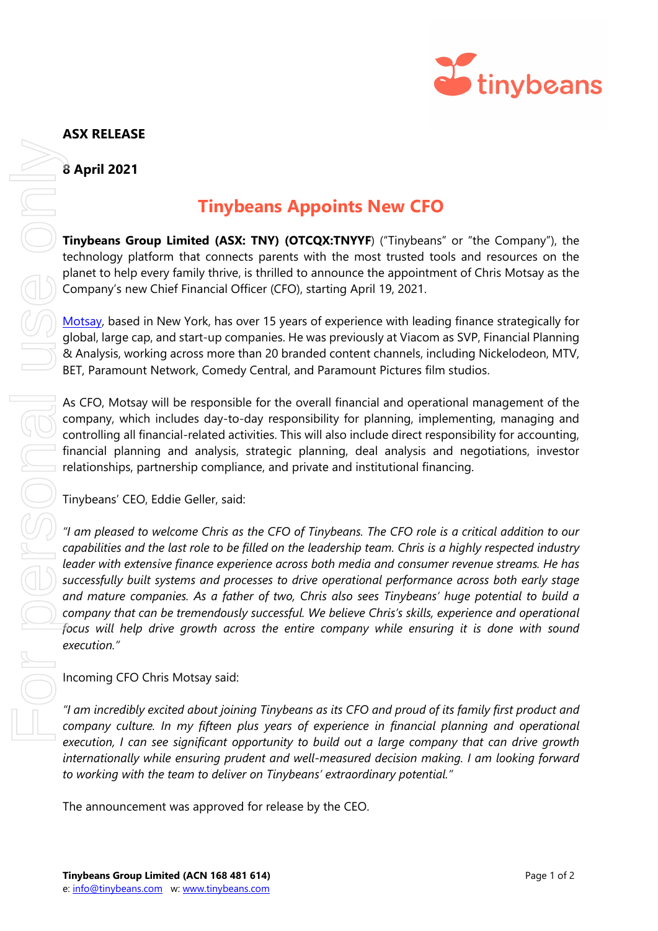

## **ASX RELEASE**

**8 April 2021**

## **Tinybeans Appoints New CFO**

**Tinybeans Group Limited (ASX: TNY) (OTCQX:TNYYF)** ("Tinybeans" or "the Company"), the technology platform that connects parents with the most trusted tools and resources on the planet to help every family thrive, is thrilled to announce the appointment of Chris Motsay as the Company's new Chief Financial Officer (CFO), starting April 19, 2021.

[Motsay,](https://www.linkedin.com/in/chris-motsay/) based in New York, has over 15 years of experience with leading finance strategically for global, large cap, and start-up companies. He was previously at Viacom as SVP, Financial Planning & Analysis, working across more than 20 branded content channels, including Nickelodeon, MTV, BET, Paramount Network, Comedy Central, and Paramount Pictures film studios.

As CFO, Motsay will be responsible for the overall financial and operational management of the company, which includes day-to-day responsibility for planning, implementing, managing and controlling all financial-related activities. This will also include direct responsibility for accounting, financial planning and analysis, strategic planning, deal analysis and negotiations, investor relationships, partnership compliance, and private and institutional financing.

Tinybeans' CEO, Eddie Geller, said:

*"I am pleased to welcome Chris as the CFO of Tinybeans. The CFO role is a critical addition to our capabilities and the last role to be filled on the leadership team. Chris is a highly respected industry leader with extensive finance experience across both media and consumer revenue streams. He has successfully built systems and processes to drive operational performance across both early stage and mature companies. As a father of two, Chris also sees Tinybeans' huge potential to build a company that can be tremendously successful. We believe Chris's skills, experience and operational focus will help drive growth across the entire company while ensuring it is done with sound execution."* **Example 18 Approximate the announce of the announcement was approximate the personal use of the personal use of Centeration Company's new Chief Financial Officer (CFO), starting Approximate the Development of Mustage by t** 

Incoming CFO Chris Motsay said:

*"I am incredibly excited about joining Tinybeans as its CFO and proud of its family first product and company culture. In my fifteen plus years of experience in financial planning and operational execution, I can see significant opportunity to build out a large company that can drive growth internationally while ensuring prudent and well-measured decision making. I am looking forward to working with the team to deliver on Tinybeans' extraordinary potential."*